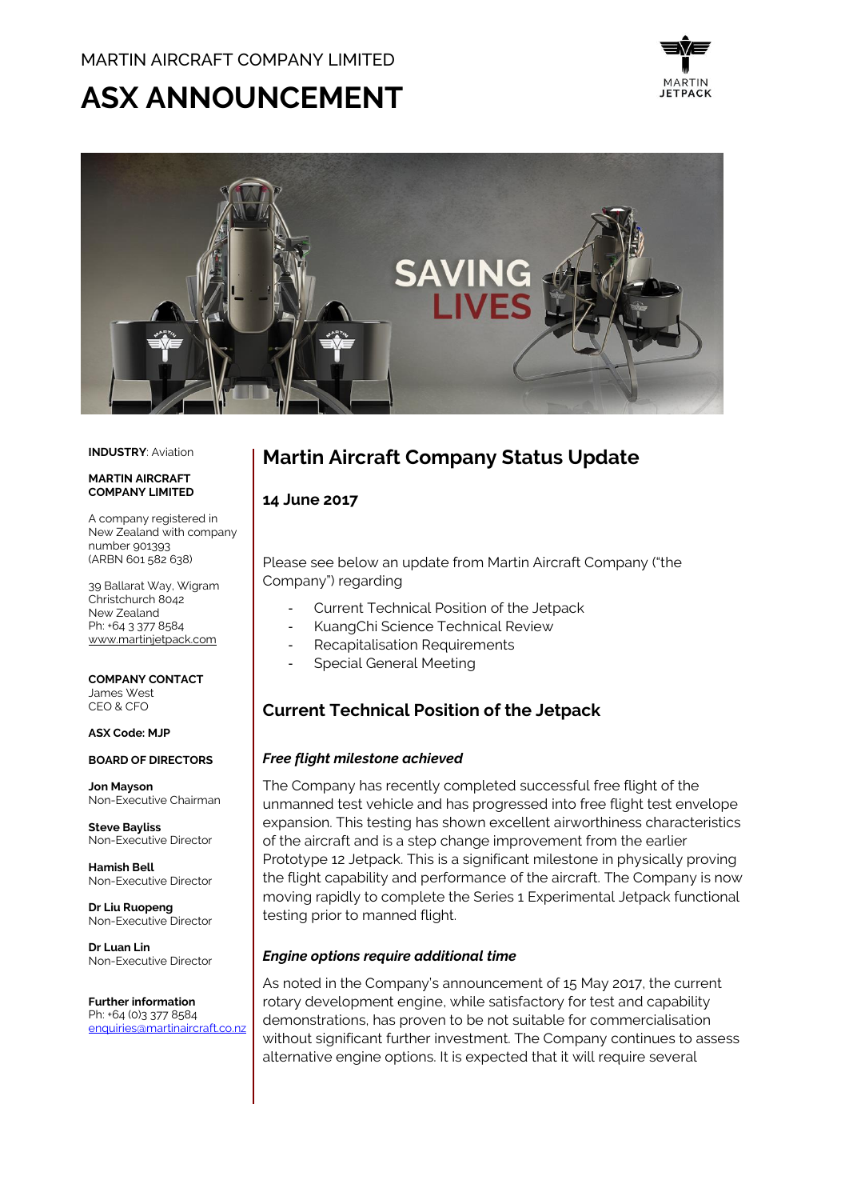# **ASX ANNOUNCEMENT**





#### **INDUSTRY**: Aviation

#### **MADTIN AIDCDAFT COMPANY LIMITED**

A company registered in New Zealand with company number 901393 (ARBN 601 582 638)

39 Ballarat Way, Wigram Christchurch 8042 New Zealand Ph: +64 3 377 8584 [www.martinjetpack.com](http://www.martinjetpack.com/)

#### **COMPANY CONTACT** James West CEO & CFO

**ASX Code: MJP**

# **BOARD OF DIRECTORS**

**Jon Mayson**  Non-Executive Chairman

**Steve Bayliss** Non-Executive Director

**Hamish Bell** Non-Executive Director

**Dr Liu Ruopeng**  Non-Executive Director

**Dr Luan Lin** Non-Executive Director

**Further information** Ph: +64 (0)3 377 8584 [enquiries@martinaircraft.co.nz](mailto:enquiries@martinaircraft.co.nz)

# **Martin Aircraft Company Status Update**

#### **14 June 2017**

Please see below an update from Martin Aircraft Company ("the Company") regarding

- Current Technical Position of the Jetpack
- KuangChi Science Technical Review
- Recapitalisation Requirements
- Special General Meeting

# **Current Technical Position of the Jetpack**

#### *Free flight milestone achieved*

The Company has recently completed successful free flight of the unmanned test vehicle and has progressed into free flight test envelope expansion. This testing has shown excellent airworthiness characteristics of the aircraft and is a step change improvement from the earlier Prototype 12 Jetpack. This is a significant milestone in physically proving the flight capability and performance of the aircraft. The Company is now moving rapidly to complete the Series 1 Experimental Jetpack functional testing prior to manned flight.

#### *Engine options require additional time*

As noted in the Company's announcement of 15 May 2017, the current rotary development engine, while satisfactory for test and capability demonstrations, has proven to be not suitable for commercialisation without significant further investment. The Company continues to assess alternative engine options. It is expected that it will require several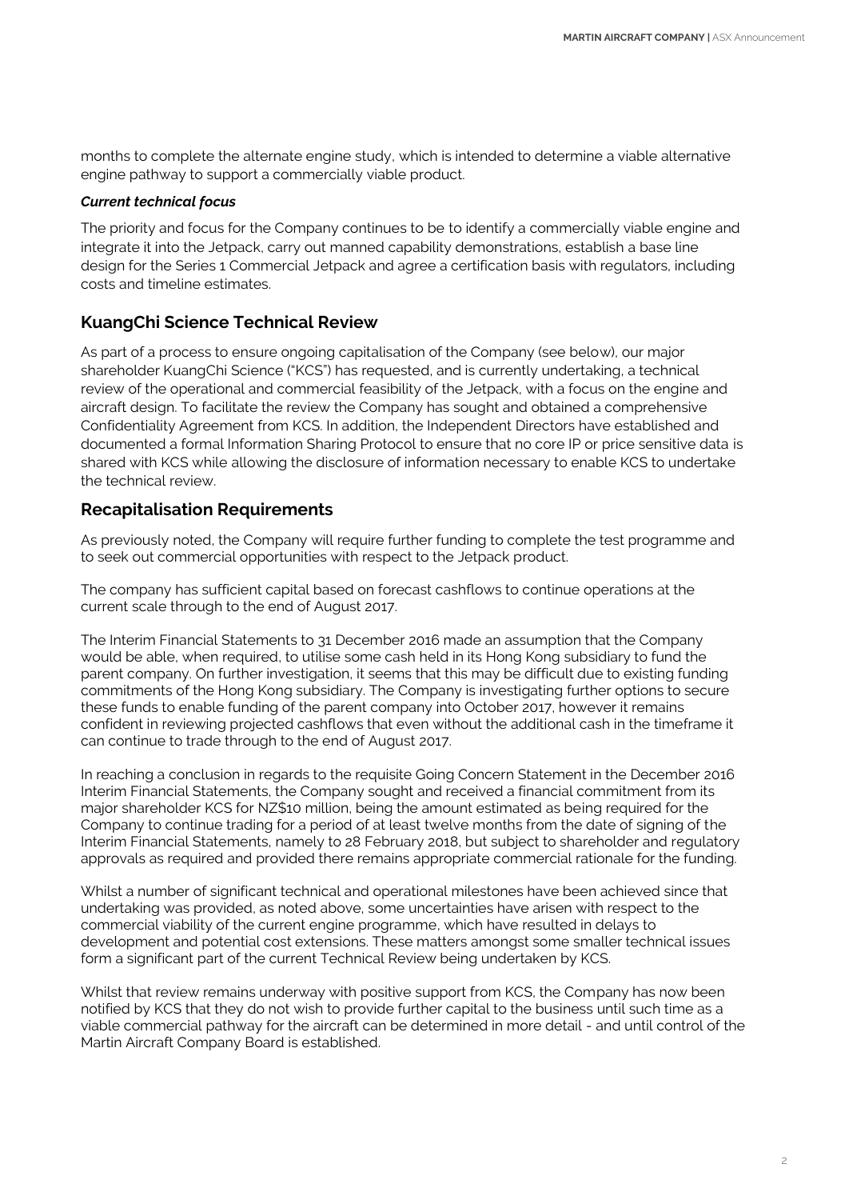months to complete the alternate engine study, which is intended to determine a viable alternative engine pathway to support a commercially viable product.

#### *Current technical focus*

The priority and focus for the Company continues to be to identify a commercially viable engine and integrate it into the Jetpack, carry out manned capability demonstrations, establish a base line design for the Series 1 Commercial Jetpack and agree a certification basis with regulators, including costs and timeline estimates.

#### **KuangChi Science Technical Review**

As part of a process to ensure ongoing capitalisation of the Company (see below), our major shareholder KuangChi Science ("KCS") has requested, and is currently undertaking, a technical review of the operational and commercial feasibility of the Jetpack, with a focus on the engine and aircraft design. To facilitate the review the Company has sought and obtained a comprehensive Confidentiality Agreement from KCS. In addition, the Independent Directors have established and documented a formal Information Sharing Protocol to ensure that no core IP or price sensitive data is shared with KCS while allowing the disclosure of information necessary to enable KCS to undertake the technical review.

### **Recapitalisation Requirements**

As previously noted, the Company will require further funding to complete the test programme and to seek out commercial opportunities with respect to the Jetpack product.

The company has sufficient capital based on forecast cashflows to continue operations at the current scale through to the end of August 2017.

The Interim Financial Statements to 31 December 2016 made an assumption that the Company would be able, when required, to utilise some cash held in its Hong Kong subsidiary to fund the parent company. On further investigation, it seems that this may be difficult due to existing funding commitments of the Hong Kong subsidiary. The Company is investigating further options to secure these funds to enable funding of the parent company into October 2017, however it remains confident in reviewing projected cashflows that even without the additional cash in the timeframe it can continue to trade through to the end of August 2017.

In reaching a conclusion in regards to the requisite Going Concern Statement in the December 2016 Interim Financial Statements, the Company sought and received a financial commitment from its major shareholder KCS for NZ\$10 million, being the amount estimated as being required for the Company to continue trading for a period of at least twelve months from the date of signing of the Interim Financial Statements, namely to 28 February 2018, but subject to shareholder and regulatory approvals as required and provided there remains appropriate commercial rationale for the funding.

Whilst a number of significant technical and operational milestones have been achieved since that undertaking was provided, as noted above, some uncertainties have arisen with respect to the commercial viability of the current engine programme, which have resulted in delays to development and potential cost extensions. These matters amongst some smaller technical issues form a significant part of the current Technical Review being undertaken by KCS.

Whilst that review remains underway with positive support from KCS, the Company has now been notified by KCS that they do not wish to provide further capital to the business until such time as a viable commercial pathway for the aircraft can be determined in more detail - and until control of the Martin Aircraft Company Board is established.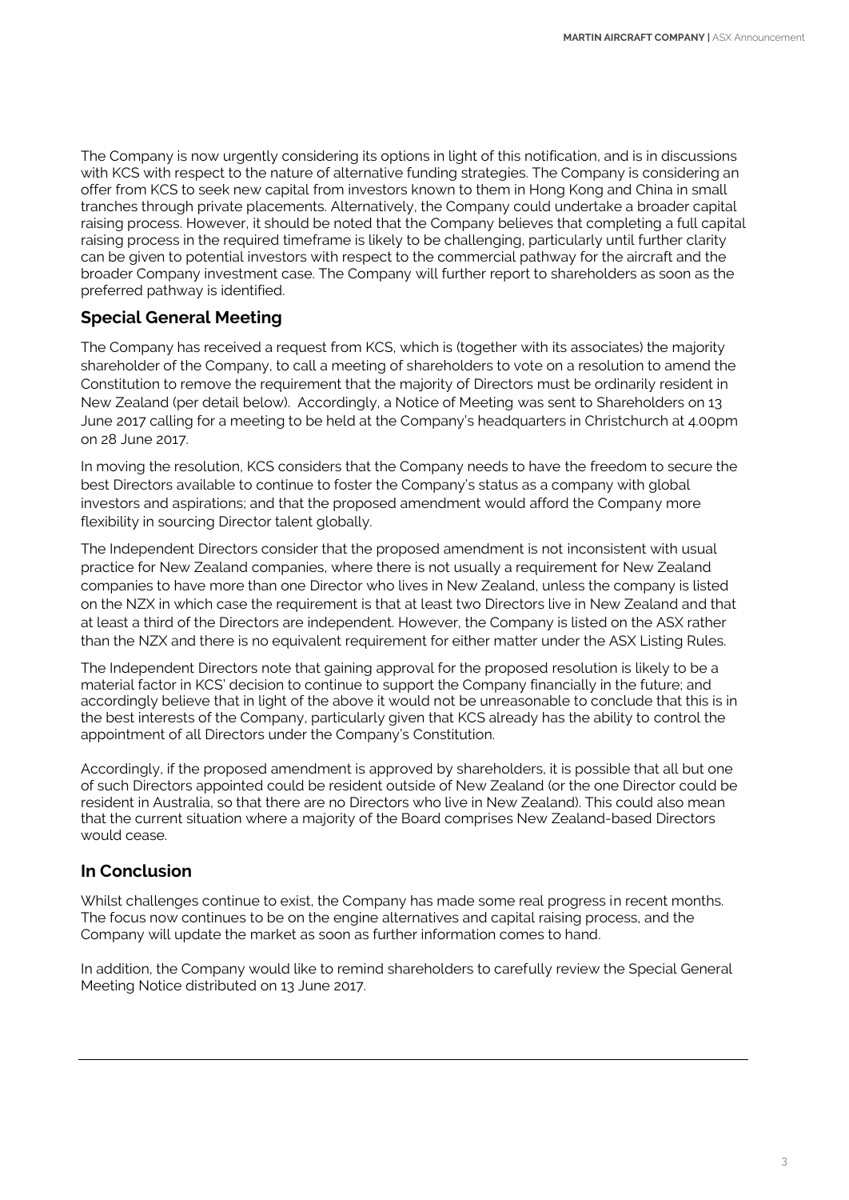The Company is now urgently considering its options in light of this notification, and is in discussions with KCS with respect to the nature of alternative funding strategies. The Company is considering an offer from KCS to seek new capital from investors known to them in Hong Kong and China in small tranches through private placements. Alternatively, the Company could undertake a broader capital raising process. However, it should be noted that the Company believes that completing a full capital raising process in the required timeframe is likely to be challenging, particularly until further clarity can be given to potential investors with respect to the commercial pathway for the aircraft and the broader Company investment case. The Company will further report to shareholders as soon as the preferred pathway is identified.

## **Special General Meeting**

The Company has received a request from KCS, which is (together with its associates) the majority shareholder of the Company, to call a meeting of shareholders to vote on a resolution to amend the Constitution to remove the requirement that the majority of Directors must be ordinarily resident in New Zealand (per detail below). Accordingly, a Notice of Meeting was sent to Shareholders on 13 June 2017 calling for a meeting to be held at the Company's headquarters in Christchurch at 4.00pm on 28 June 2017.

In moving the resolution, KCS considers that the Company needs to have the freedom to secure the best Directors available to continue to foster the Company's status as a company with global investors and aspirations; and that the proposed amendment would afford the Company more flexibility in sourcing Director talent globally.

The Independent Directors consider that the proposed amendment is not inconsistent with usual practice for New Zealand companies, where there is not usually a requirement for New Zealand companies to have more than one Director who lives in New Zealand, unless the company is listed on the NZX in which case the requirement is that at least two Directors live in New Zealand and that at least a third of the Directors are independent. However, the Company is listed on the ASX rather than the NZX and there is no equivalent requirement for either matter under the ASX Listing Rules.

The Independent Directors note that gaining approval for the proposed resolution is likely to be a material factor in KCS' decision to continue to support the Company financially in the future; and accordingly believe that in light of the above it would not be unreasonable to conclude that this is in the best interests of the Company, particularly given that KCS already has the ability to control the appointment of all Directors under the Company's Constitution.

Accordingly, if the proposed amendment is approved by shareholders, it is possible that all but one of such Directors appointed could be resident outside of New Zealand (or the one Director could be resident in Australia, so that there are no Directors who live in New Zealand). This could also mean that the current situation where a majority of the Board comprises New Zealand-based Directors would cease.

## **In Conclusion**

Whilst challenges continue to exist, the Company has made some real progress in recent months. The focus now continues to be on the engine alternatives and capital raising process, and the Company will update the market as soon as further information comes to hand.

In addition, the Company would like to remind shareholders to carefully review the Special General Meeting Notice distributed on 13 June 2017.